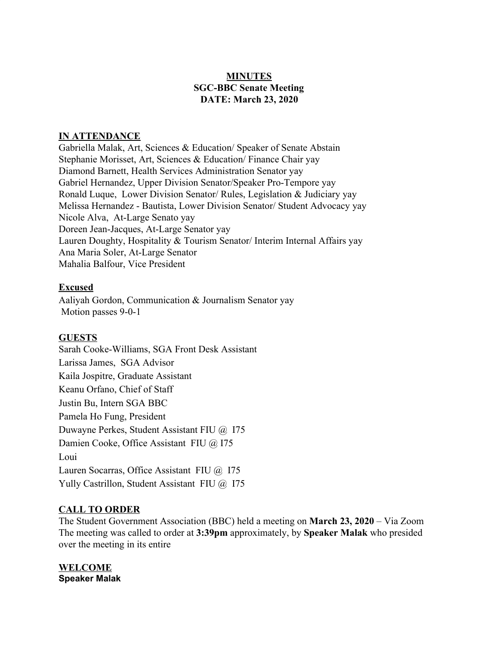# **MINUTES SGC-BBC Senate Meeting DATE: March 23, 2020**

## **IN ATTENDANCE**

Gabriella Malak, Art, Sciences & Education/ Speaker of Senate Abstain Stephanie Morisset, Art, Sciences & Education/ Finance Chair yay Diamond Barnett, Health Services Administration Senator yay Gabriel Hernandez, Upper Division Senator/Speaker Pro-Tempore yay Ronald Luque, Lower Division Senator/ Rules, Legislation & Judiciary yay Melissa Hernandez - Bautista, Lower Division Senator/ Student Advocacy yay Nicole Alva, At-Large Senato yay Doreen Jean-Jacques, At-Large Senator yay Lauren Doughty, Hospitality & Tourism Senator/ Interim Internal Affairs yay Ana Maria Soler, At-Large Senator Mahalia Balfour, Vice President

## **Excused**

Aaliyah Gordon, Communication & Journalism Senator yay Motion passes 9-0-1

## **GUESTS**

Sarah Cooke-Williams, SGA Front Desk Assistant Larissa James, SGA Advisor Kaila Jospitre, Graduate Assistant Keanu Orfano, Chief of Staff Justin Bu, Intern SGA BBC Pamela Ho Fung, President Duwayne Perkes, Student Assistant FIU @ I75 Damien Cooke, Office Assistant FIU @ I75 Loui Lauren Socarras, Office Assistant FIU @ I75 Yully Castrillon, Student Assistant FIU @ 175

## **CALL TO ORDER**

The Student Government Association (BBC) held a meeting on **March 23, 2020** – Via Zoom The meeting was called to order at **3:39pm** approximately, by **Speaker Malak** who presided over the meeting in its entire

**WELCOME Speaker Malak**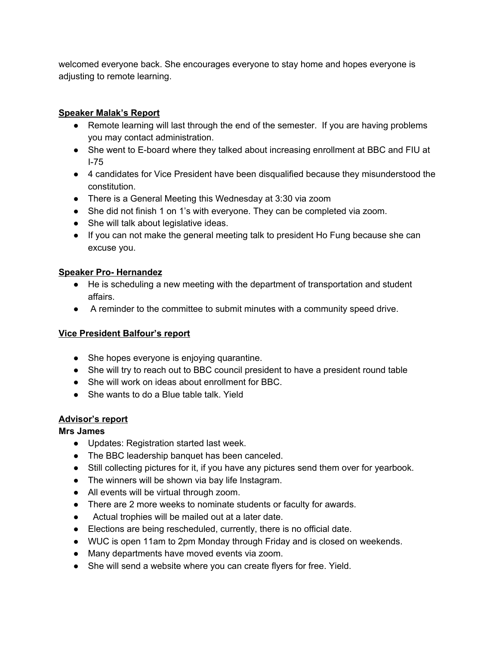welcomed everyone back. She encourages everyone to stay home and hopes everyone is adjusting to remote learning.

# **Speaker Malak's Report**

- Remote learning will last through the end of the semester. If you are having problems you may contact administration.
- She went to E-board where they talked about increasing enrollment at BBC and FIU at I-75
- 4 candidates for Vice President have been disqualified because they misunderstood the constitution.
- There is a General Meeting this Wednesday at 3:30 via zoom
- She did not finish 1 on 1's with everyone. They can be completed via zoom.
- She will talk about legislative ideas.
- If you can not make the general meeting talk to president Ho Fung because she can excuse you.

## **Speaker Pro- Hernandez**

- He is scheduling a new meeting with the department of transportation and student affairs.
- A reminder to the committee to submit minutes with a community speed drive.

## **Vice President Balfour's report**

- She hopes everyone is enjoying quarantine.
- She will try to reach out to BBC council president to have a president round table
- She will work on ideas about enrollment for BBC.
- She wants to do a Blue table talk. Yield

# **Advisor's report**

## **Mrs James**

- Updates: Registration started last week.
- The BBC leadership banquet has been canceled.
- Still collecting pictures for it, if you have any pictures send them over for yearbook.
- The winners will be shown via bay life Instagram.
- All events will be virtual through zoom.
- There are 2 more weeks to nominate students or faculty for awards.
- Actual trophies will be mailed out at a later date.
- Elections are being rescheduled, currently, there is no official date.
- WUC is open 11am to 2pm Monday through Friday and is closed on weekends.
- Many departments have moved events via zoom.
- She will send a website where you can create flyers for free. Yield.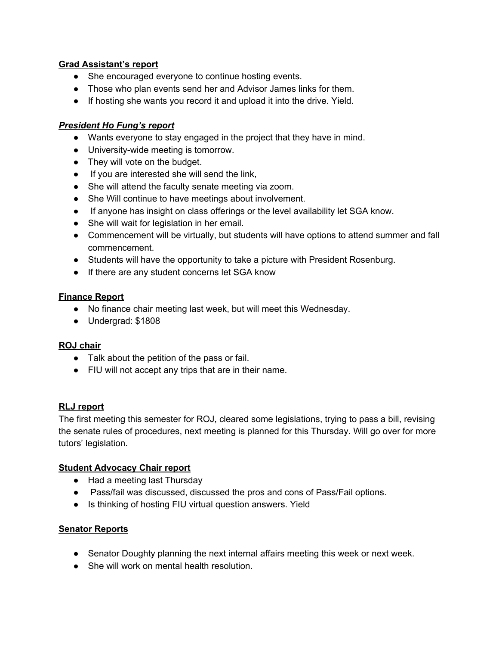## **Grad Assistant's report**

- She encouraged everyone to continue hosting events.
- Those who plan events send her and Advisor James links for them.
- If hosting she wants you record it and upload it into the drive. Yield.

## *President Ho Fung's report*

- Wants everyone to stay engaged in the project that they have in mind.
- University-wide meeting is tomorrow.
- They will vote on the budget.
- If you are interested she will send the link,
- She will attend the faculty senate meeting via zoom.
- She Will continue to have meetings about involvement.
- If anyone has insight on class offerings or the level availability let SGA know.
- She will wait for legislation in her email.
- Commencement will be virtually, but students will have options to attend summer and fall commencement.
- Students will have the opportunity to take a picture with President Rosenburg.
- If there are any student concerns let SGA know

#### **Finance Report**

- No finance chair meeting last week, but will meet this Wednesday.
- Undergrad: \$1808

## **ROJ chair**

- Talk about the petition of the pass or fail.
- FIU will not accept any trips that are in their name.

## **RLJ report**

The first meeting this semester for ROJ, cleared some legislations, trying to pass a bill, revising the senate rules of procedures, next meeting is planned for this Thursday. Will go over for more tutors' legislation.

## **Student Advocacy Chair report**

- Had a meeting last Thursday
- Pass/fail was discussed, discussed the pros and cons of Pass/Fail options.
- Is thinking of hosting FIU virtual question answers. Yield

## **Senator Reports**

- Senator Doughty planning the next internal affairs meeting this week or next week.
- She will work on mental health resolution.